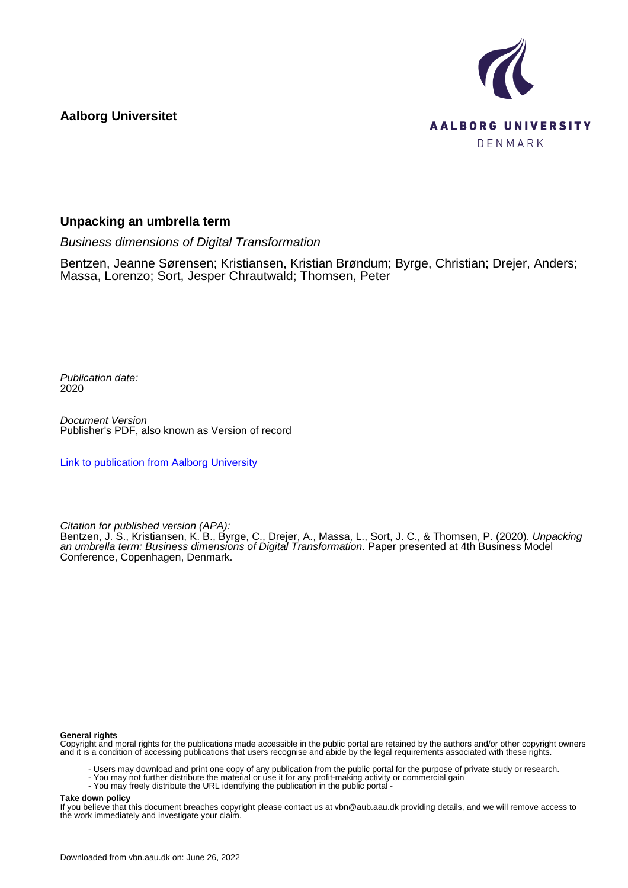**Aalborg Universitet**



#### **Unpacking an umbrella term**

Business dimensions of Digital Transformation

Bentzen, Jeanne Sørensen; Kristiansen, Kristian Brøndum; Byrge, Christian; Drejer, Anders; Massa, Lorenzo; Sort, Jesper Chrautwald; Thomsen, Peter

Publication date: 2020

Document Version Publisher's PDF, also known as Version of record

[Link to publication from Aalborg University](https://vbn.aau.dk/en/publications/790195f4-0aff-4c0a-850c-dce1fbd1e850)

Citation for published version (APA):

Bentzen, J. S., Kristiansen, K. B., Byrge, C., Drejer, A., Massa, L., Sort, J. C., & Thomsen, P. (2020). *Unpacking* an umbrella term: Business dimensions of Digital Transformation. Paper presented at 4th Business Model Conference, Copenhagen, Denmark.

#### **General rights**

Copyright and moral rights for the publications made accessible in the public portal are retained by the authors and/or other copyright owners and it is a condition of accessing publications that users recognise and abide by the legal requirements associated with these rights.

- Users may download and print one copy of any publication from the public portal for the purpose of private study or research.
- You may not further distribute the material or use it for any profit-making activity or commercial gain
- You may freely distribute the URL identifying the publication in the public portal -

#### **Take down policy**

If you believe that this document breaches copyright please contact us at vbn@aub.aau.dk providing details, and we will remove access to the work immediately and investigate your claim.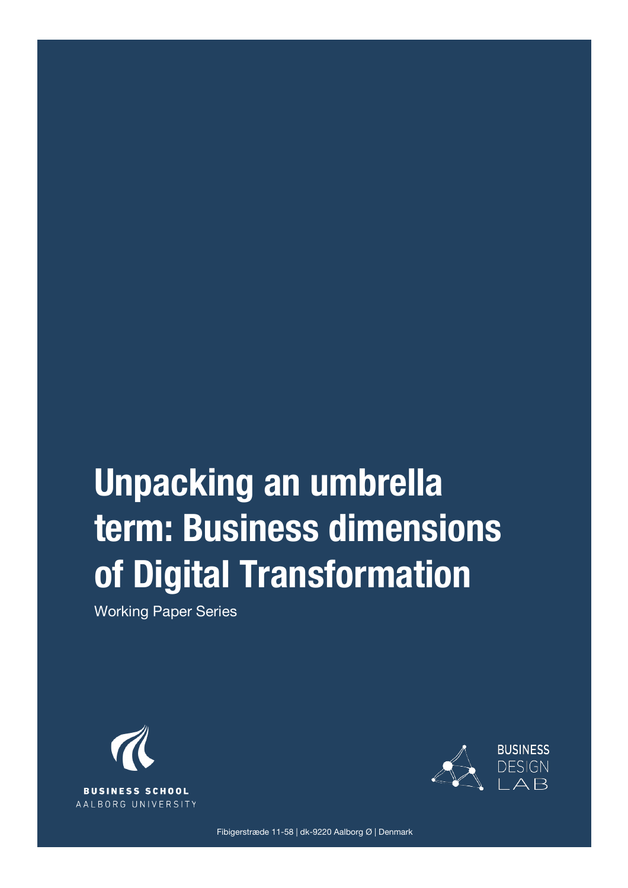# **Unpacking an umbrella term: Business dimensions of Digital Transformation**

Working Paper Series





Fibigerstræde 11-58 | dk-9220 Aalborg Ø | Denmark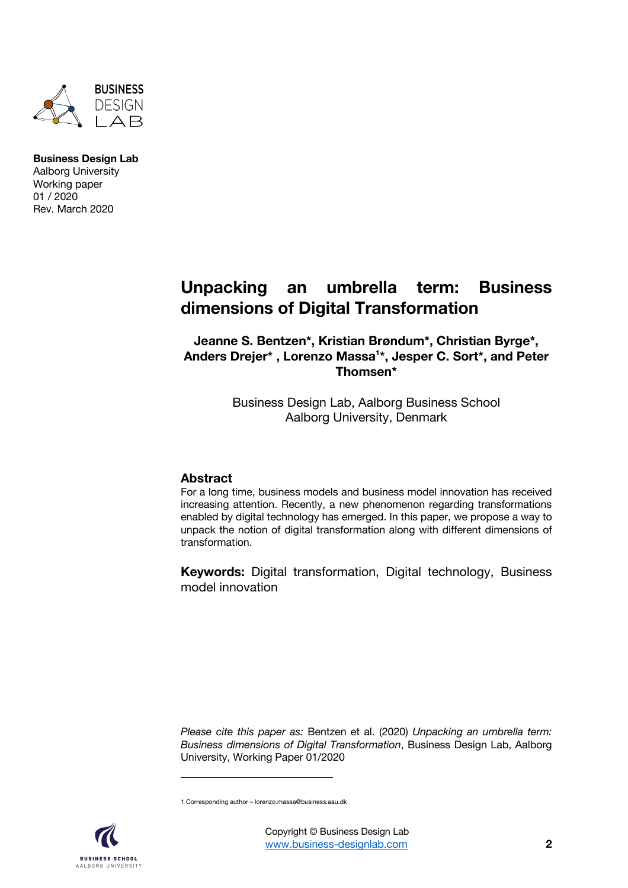

## **Unpacking an umbrella term: Business dimensions of Digital Transformation**

**Jeanne S. Bentzen\*, Kristian Brøndum\*, Christian Byrge\*, Anders Drejer\* , Lorenzo Massa1 \*, Jesper C. Sort\*, and Peter Thomsen\***

> Business Design Lab, Aalborg Business School Aalborg University, Denmark

#### **Abstract**

For a long time, business models and business model innovation has received increasing attention. Recently, a new phenomenon regarding transformations enabled by digital technology has emerged. In this paper, we propose a way to unpack the notion of digital transformation along with different dimensions of transformation.

**Keywords:** Digital transformation, Digital technology, Business model innovation

*Please cite this paper as:* Bentzen et al. (2020) *Unpacking an umbrella term: Business dimensions of Digital Transformation*, Business Design Lab, Aalborg University, Working Paper 01/2020

1 Corresponding author – lorenzo.massa@business.aau.dk

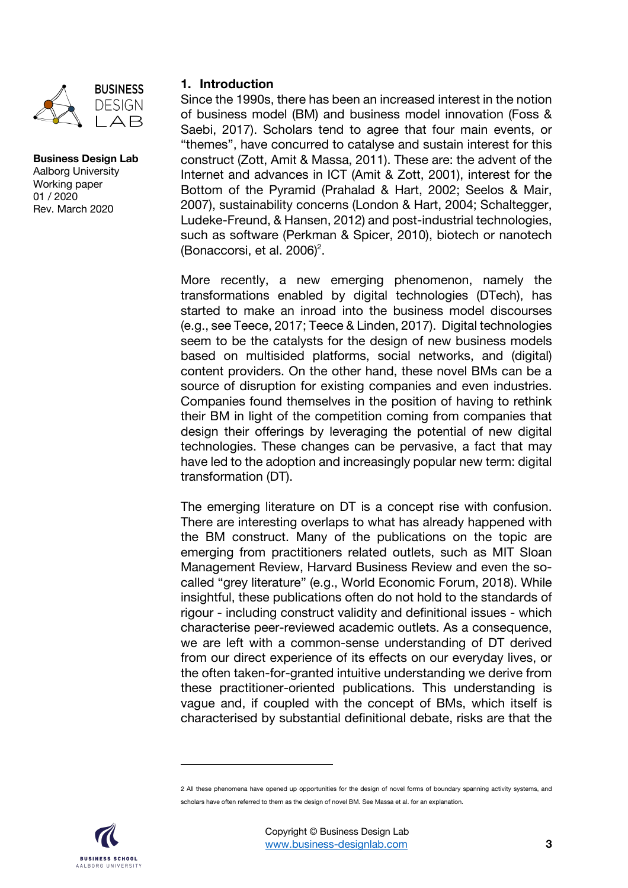

#### **1. Introduction**

Since the 1990s, there has been an increased interest in the notion of business model (BM) and business model innovation (Foss & Saebi, 2017). Scholars tend to agree that four main events, or "themes", have concurred to catalyse and sustain interest for this construct (Zott, Amit & Massa, 2011). These are: the advent of the Internet and advances in ICT (Amit & Zott, 2001), interest for the Bottom of the Pyramid (Prahalad & Hart, 2002; Seelos & Mair, 2007), sustainability concerns (London & Hart, 2004; Schaltegger, Ludeke-Freund, & Hansen, 2012) and post-industrial technologies, such as software (Perkman & Spicer, 2010), biotech or nanotech (Bonaccorsi, et al.  $2006$ )<sup>2</sup>.

More recently, a new emerging phenomenon, namely the transformations enabled by digital technologies (DTech), has started to make an inroad into the business model discourses (e.g., see Teece, 2017; Teece & Linden, 2017). Digital technologies seem to be the catalysts for the design of new business models based on multisided platforms, social networks, and (digital) content providers. On the other hand, these novel BMs can be a source of disruption for existing companies and even industries. Companies found themselves in the position of having to rethink their BM in light of the competition coming from companies that design their offerings by leveraging the potential of new digital technologies. These changes can be pervasive, a fact that may have led to the adoption and increasingly popular new term: digital transformation (DT).

The emerging literature on DT is a concept rise with confusion. There are interesting overlaps to what has already happened with the BM construct. Many of the publications on the topic are emerging from practitioners related outlets, such as MIT Sloan Management Review, Harvard Business Review and even the socalled "grey literature" (e.g., World Economic Forum, 2018). While insightful, these publications often do not hold to the standards of rigour - including construct validity and definitional issues - which characterise peer-reviewed academic outlets. As a consequence, we are left with a common-sense understanding of DT derived from our direct experience of its effects on our everyday lives, or the often taken-for-granted intuitive understanding we derive from these practitioner-oriented publications. This understanding is vague and, if coupled with the concept of BMs, which itself is characterised by substantial definitional debate, risks are that the

<sup>2</sup> All these phenomena have opened up opportunities for the design of novel forms of boundary spanning activity systems, and scholars have often referred to them as the design of novel BM. See Massa et al. for an explanation.

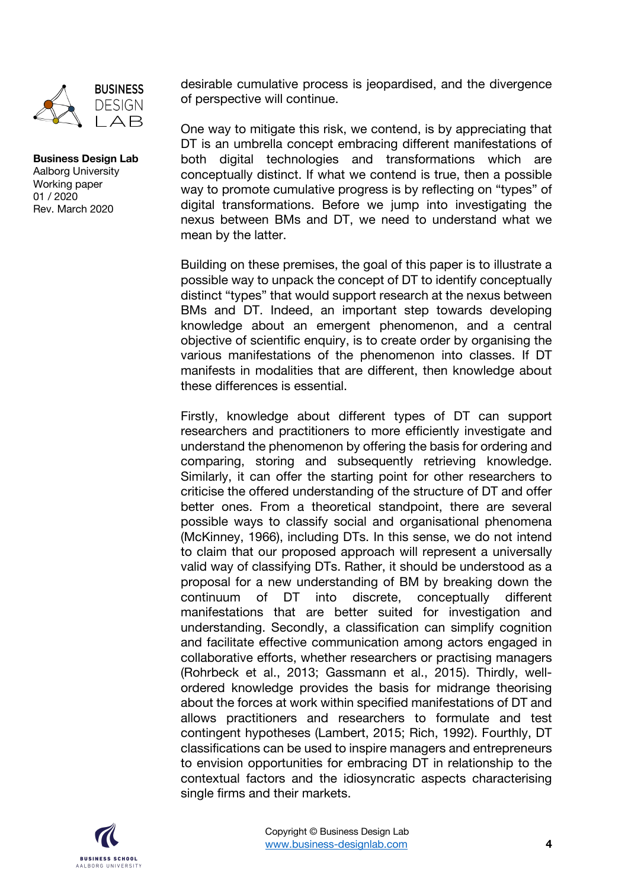

desirable cumulative process is jeopardised, and the divergence of perspective will continue.

One way to mitigate this risk, we contend, is by appreciating that DT is an umbrella concept embracing different manifestations of both digital technologies and transformations which are conceptually distinct. If what we contend is true, then a possible way to promote cumulative progress is by reflecting on "types" of digital transformations. Before we jump into investigating the nexus between BMs and DT, we need to understand what we mean by the latter.

Building on these premises, the goal of this paper is to illustrate a possible way to unpack the concept of DT to identify conceptually distinct "types" that would support research at the nexus between BMs and DT. Indeed, an important step towards developing knowledge about an emergent phenomenon, and a central objective of scientific enquiry, is to create order by organising the various manifestations of the phenomenon into classes. If DT manifests in modalities that are different, then knowledge about these differences is essential.

Firstly, knowledge about different types of DT can support researchers and practitioners to more efficiently investigate and understand the phenomenon by offering the basis for ordering and comparing, storing and subsequently retrieving knowledge. Similarly, it can offer the starting point for other researchers to criticise the offered understanding of the structure of DT and offer better ones. From a theoretical standpoint, there are several possible ways to classify social and organisational phenomena (McKinney, 1966), including DTs. In this sense, we do not intend to claim that our proposed approach will represent a universally valid way of classifying DTs. Rather, it should be understood as a proposal for a new understanding of BM by breaking down the continuum of DT into discrete, conceptually different manifestations that are better suited for investigation and understanding. Secondly, a classification can simplify cognition and facilitate effective communication among actors engaged in collaborative efforts, whether researchers or practising managers (Rohrbeck et al., 2013; Gassmann et al., 2015). Thirdly, wellordered knowledge provides the basis for midrange theorising about the forces at work within specified manifestations of DT and allows practitioners and researchers to formulate and test contingent hypotheses (Lambert, 2015; Rich, 1992). Fourthly, DT classifications can be used to inspire managers and entrepreneurs to envision opportunities for embracing DT in relationship to the contextual factors and the idiosyncratic aspects characterising single firms and their markets.

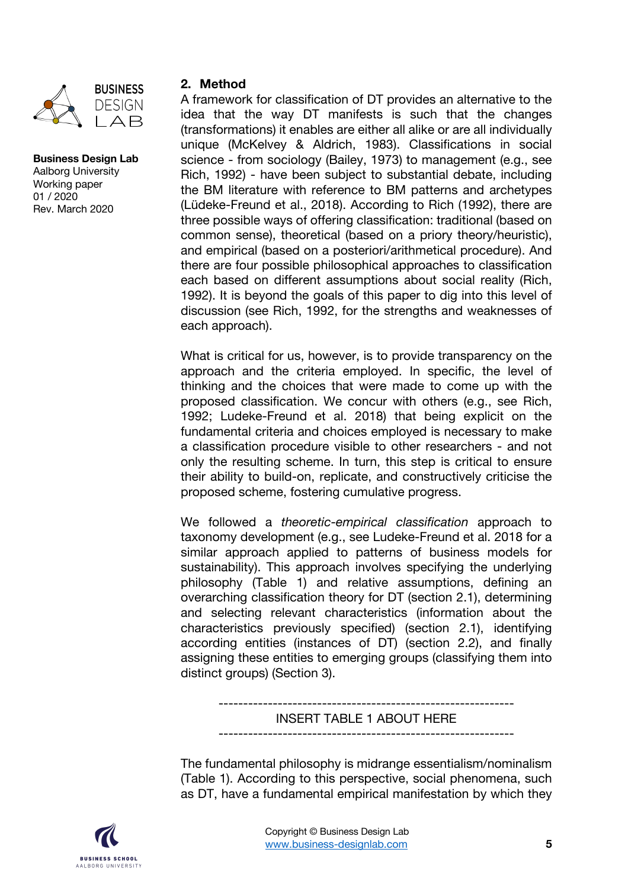

#### **2. Method**

A framework for classification of DT provides an alternative to the idea that the way DT manifests is such that the changes (transformations) it enables are either all alike or are all individually unique (McKelvey & Aldrich, 1983). Classifications in social science - from sociology (Bailey, 1973) to management (e.g., see Rich, 1992) - have been subject to substantial debate, including the BM literature with reference to BM patterns and archetypes (Lüdeke-Freund et al., 2018). According to Rich (1992), there are three possible ways of offering classification: traditional (based on common sense), theoretical (based on a priory theory/heuristic), and empirical (based on a posteriori/arithmetical procedure). And there are four possible philosophical approaches to classification each based on different assumptions about social reality (Rich, 1992). It is beyond the goals of this paper to dig into this level of discussion (see Rich, 1992, for the strengths and weaknesses of each approach).

What is critical for us, however, is to provide transparency on the approach and the criteria employed. In specific, the level of thinking and the choices that were made to come up with the proposed classification. We concur with others (e.g., see Rich, 1992; Ludeke-Freund et al. 2018) that being explicit on the fundamental criteria and choices employed is necessary to make a classification procedure visible to other researchers - and not only the resulting scheme. In turn, this step is critical to ensure their ability to build-on, replicate, and constructively criticise the proposed scheme, fostering cumulative progress.

We followed a *theoretic-empirical classification* approach to taxonomy development (e.g., see Ludeke-Freund et al. 2018 for a similar approach applied to patterns of business models for sustainability). This approach involves specifying the underlying philosophy (Table 1) and relative assumptions, defining an overarching classification theory for DT (section 2.1), determining and selecting relevant characteristics (information about the characteristics previously specified) (section 2.1), identifying according entities (instances of DT) (section 2.2), and finally assigning these entities to emerging groups (classifying them into distinct groups) (Section 3).

> ------------------------------------------------------------ INSERT TABLE 1 ABOUT HERE

The fundamental philosophy is midrange essentialism/nominalism (Table 1). According to this perspective, social phenomena, such as DT, have a fundamental empirical manifestation by which they

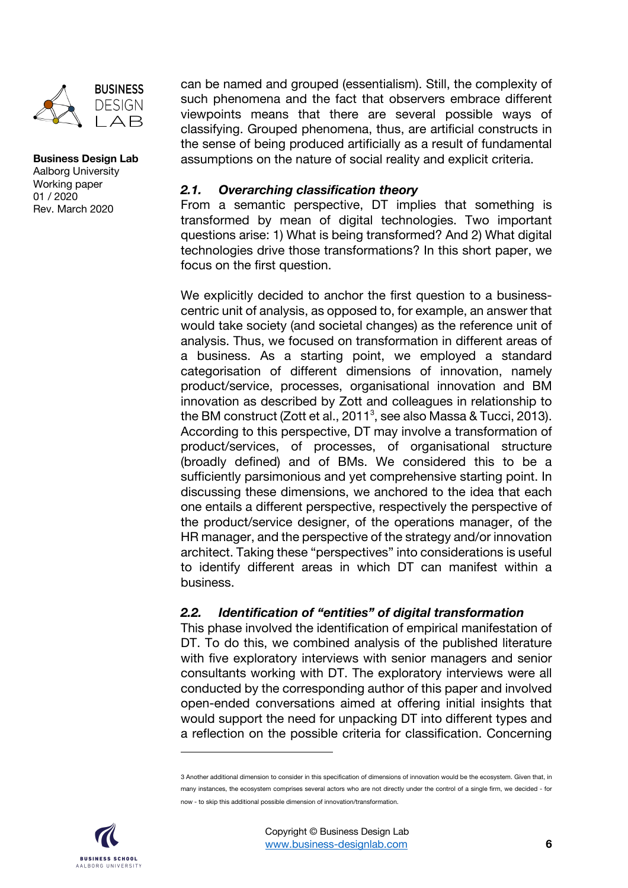

#### **Business Design Lab** Aalborg University Working paper

01 / 2020 Rev. March 2020 can be named and grouped (essentialism). Still, the complexity of such phenomena and the fact that observers embrace different viewpoints means that there are several possible ways of classifying. Grouped phenomena, thus, are artificial constructs in the sense of being produced artificially as a result of fundamental assumptions on the nature of social reality and explicit criteria.

### *2.1. Overarching classification theory*

From a semantic perspective, DT implies that something is transformed by mean of digital technologies. Two important questions arise: 1) What is being transformed? And 2) What digital technologies drive those transformations? In this short paper, we focus on the first question.

We explicitly decided to anchor the first question to a businesscentric unit of analysis, as opposed to, for example, an answer that would take society (and societal changes) as the reference unit of analysis. Thus, we focused on transformation in different areas of a business. As a starting point, we employed a standard categorisation of different dimensions of innovation, namely product/service, processes, organisational innovation and BM innovation as described by Zott and colleagues in relationship to the BM construct (Zott et al., 2011<sup>3</sup>, see also Massa & Tucci, 2013). According to this perspective, DT may involve a transformation of product/services, of processes, of organisational structure (broadly defined) and of BMs. We considered this to be a sufficiently parsimonious and yet comprehensive starting point. In discussing these dimensions, we anchored to the idea that each one entails a different perspective, respectively the perspective of the product/service designer, of the operations manager, of the HR manager, and the perspective of the strategy and/or innovation architect. Taking these "perspectives" into considerations is useful to identify different areas in which DT can manifest within a business.

## *2.2. Identification of "entities" of digital transformation*

This phase involved the identification of empirical manifestation of DT. To do this, we combined analysis of the published literature with five exploratory interviews with senior managers and senior consultants working with DT. The exploratory interviews were all conducted by the corresponding author of this paper and involved open-ended conversations aimed at offering initial insights that would support the need for unpacking DT into different types and a reflection on the possible criteria for classification. Concerning

<sup>3</sup> Another additional dimension to consider in this specification of dimensions of innovation would be the ecosystem. Given that, in many instances, the ecosystem comprises several actors who are not directly under the control of a single firm, we decided - for now - to skip this additional possible dimension of innovation/transformation.

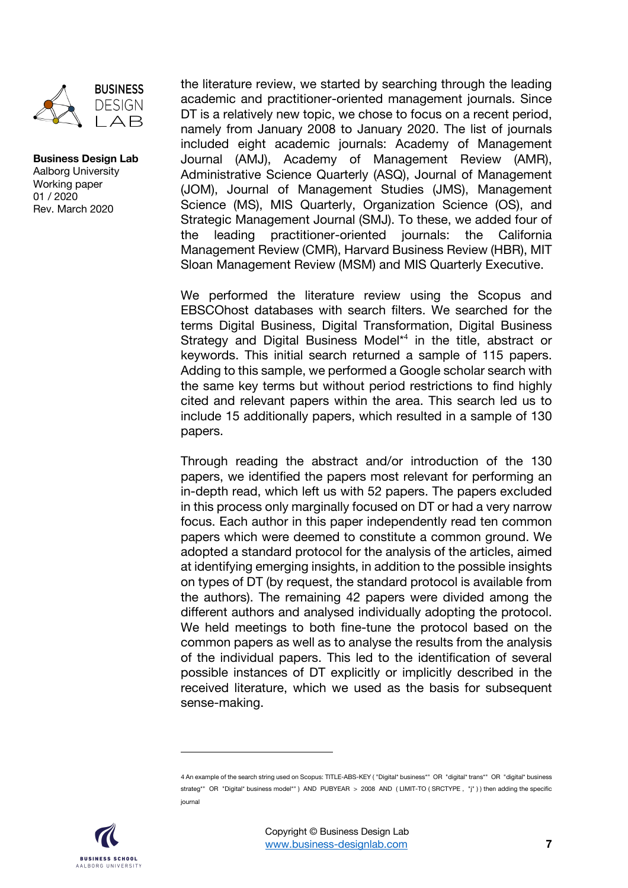

the literature review, we started by searching through the leading academic and practitioner-oriented management journals. Since DT is a relatively new topic, we chose to focus on a recent period, namely from January 2008 to January 2020. The list of journals included eight academic journals: Academy of Management Journal (AMJ), Academy of Management Review (AMR), Administrative Science Quarterly (ASQ), Journal of Management (JOM), Journal of Management Studies (JMS), Management Science (MS), MIS Quarterly, Organization Science (OS), and Strategic Management Journal (SMJ). To these, we added four of the leading practitioner-oriented journals: the California Management Review (CMR), Harvard Business Review (HBR), MIT Sloan Management Review (MSM) and MIS Quarterly Executive.

We performed the literature review using the Scopus and EBSCOhost databases with search filters. We searched for the terms Digital Business, Digital Transformation, Digital Business Strategy and Digital Business Model<sup>\*4</sup> in the title, abstract or keywords. This initial search returned a sample of 115 papers. Adding to this sample, we performed a Google scholar search with the same key terms but without period restrictions to find highly cited and relevant papers within the area. This search led us to include 15 additionally papers, which resulted in a sample of 130 papers.

Through reading the abstract and/or introduction of the 130 papers, we identified the papers most relevant for performing an in-depth read, which left us with 52 papers. The papers excluded in this process only marginally focused on DT or had a very narrow focus. Each author in this paper independently read ten common papers which were deemed to constitute a common ground. We adopted a standard protocol for the analysis of the articles, aimed at identifying emerging insights, in addition to the possible insights on types of DT (by request, the standard protocol is available from the authors). The remaining 42 papers were divided among the different authors and analysed individually adopting the protocol. We held meetings to both fine-tune the protocol based on the common papers as well as to analyse the results from the analysis of the individual papers. This led to the identification of several possible instances of DT explicitly or implicitly described in the received literature, which we used as the basis for subsequent sense-making.

<sup>4</sup> An example of the search string used on Scopus: TITLE-ABS-KEY ("Digital\* business\*" OR "digital\* trans\*" OR "digital\* business strateg\*" OR "Digital\* business model\*") AND PUBYEAR > 2008 AND (LIMIT-TO (SRCTYPE, "i")) then adding the specific journal

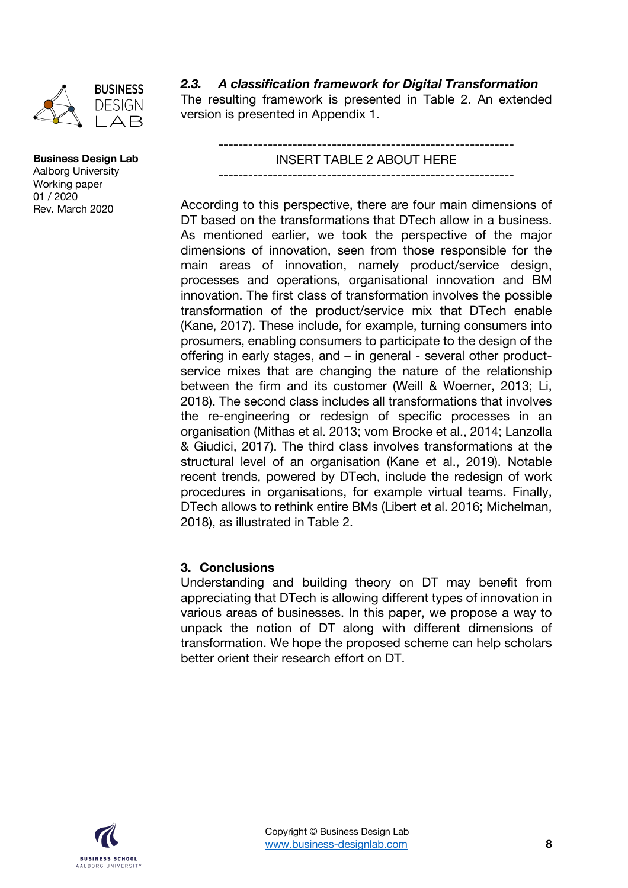

*2.3. A classification framework for Digital Transformation*

The resulting framework is presented in Table 2. An extended version is presented in Appendix 1.

> ------------------------------------------------------------ INSERT TABLE 2 ABOUT HERE

> ------------------------------------------------------------

According to this perspective, there are four main dimensions of DT based on the transformations that DTech allow in a business. As mentioned earlier, we took the perspective of the major dimensions of innovation, seen from those responsible for the main areas of innovation, namely product/service design, processes and operations, organisational innovation and BM innovation. The first class of transformation involves the possible transformation of the product/service mix that DTech enable (Kane, 2017). These include, for example, turning consumers into prosumers, enabling consumers to participate to the design of the offering in early stages, and – in general - several other productservice mixes that are changing the nature of the relationship between the firm and its customer (Weill & Woerner, 2013; Li, 2018). The second class includes all transformations that involves the re-engineering or redesign of specific processes in an organisation (Mithas et al. 2013; vom Brocke et al., 2014; Lanzolla & Giudici, 2017). The third class involves transformations at the structural level of an organisation (Kane et al., 2019). Notable recent trends, powered by DTech, include the redesign of work procedures in organisations, for example virtual teams. Finally, DTech allows to rethink entire BMs (Libert et al. 2016; Michelman, 2018), as illustrated in Table 2.

#### **3. Conclusions**

Understanding and building theory on DT may benefit from appreciating that DTech is allowing different types of innovation in various areas of businesses. In this paper, we propose a way to unpack the notion of DT along with different dimensions of transformation. We hope the proposed scheme can help scholars better orient their research effort on DT.

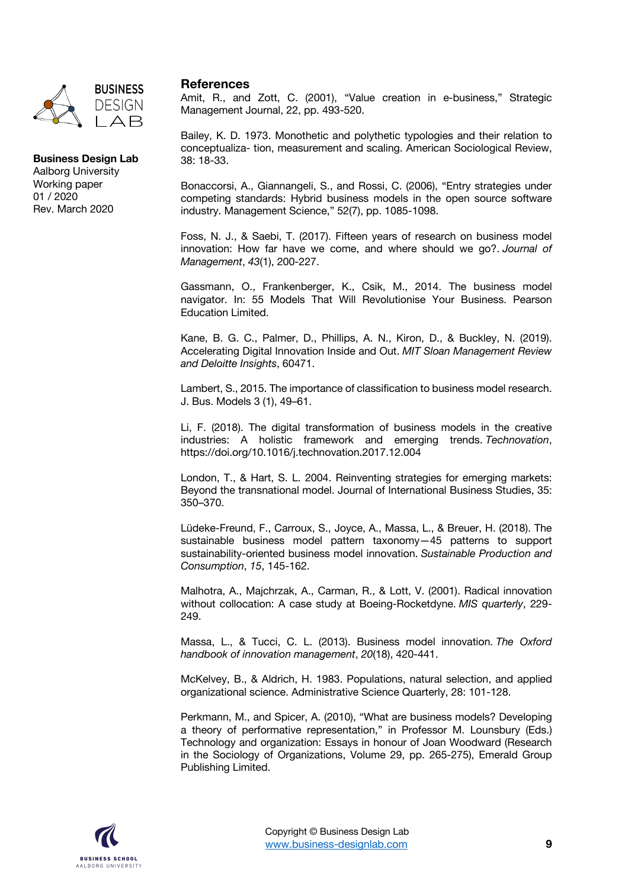

#### **References**

Amit, R., and Zott, C. (2001), "Value creation in e-business," Strategic Management Journal, 22, pp. 493-520.

Bailey, K. D. 1973. Monothetic and polythetic typologies and their relation to conceptualiza- tion, measurement and scaling. American Sociological Review, 38: 18-33.

Bonaccorsi, A., Giannangeli, S., and Rossi, C. (2006), "Entry strategies under competing standards: Hybrid business models in the open source software industry. Management Science," 52(7), pp. 1085-1098.

Foss, N. J., & Saebi, T. (2017). Fifteen years of research on business model innovation: How far have we come, and where should we go?. *Journal of Management*, *43*(1), 200-227.

Gassmann, O., Frankenberger, K., Csik, M., 2014. The business model navigator. In: 55 Models That Will Revolutionise Your Business. Pearson Education Limited.

Kane, B. G. C., Palmer, D., Phillips, A. N., Kiron, D., & Buckley, N. (2019). Accelerating Digital Innovation Inside and Out. *MIT Sloan Management Review and Deloitte Insights*, 60471.

Lambert, S., 2015. The importance of classification to business model research. J. Bus. Models 3 (1), 49–61.

Li, F. (2018). The digital transformation of business models in the creative industries: A holistic framework and emerging trends. *Technovation*, https://doi.org/10.1016/j.technovation.2017.12.004

London, T., & Hart, S. L. 2004. Reinventing strategies for emerging markets: Beyond the transnational model. Journal of International Business Studies, 35: 350–370.

Lüdeke-Freund, F., Carroux, S., Joyce, A., Massa, L., & Breuer, H. (2018). The sustainable business model pattern taxonomy—45 patterns to support sustainability-oriented business model innovation. *Sustainable Production and Consumption*, *15*, 145-162.

Malhotra, A., Majchrzak, A., Carman, R., & Lott, V. (2001). Radical innovation without collocation: A case study at Boeing-Rocketdyne. *MIS quarterly*, 229- 249.

Massa, L., & Tucci, C. L. (2013). Business model innovation. *The Oxford handbook of innovation management*, *20*(18), 420-441.

McKelvey, B., & Aldrich, H. 1983. Populations, natural selection, and applied organizational science. Administrative Science Quarterly, 28: 101-128.

Perkmann, M., and Spicer, A. (2010), "What are business models? Developing a theory of performative representation," in Professor M. Lounsbury (Eds.) Technology and organization: Essays in honour of Joan Woodward (Research in the Sociology of Organizations, Volume 29, pp. 265-275), Emerald Group Publishing Limited.

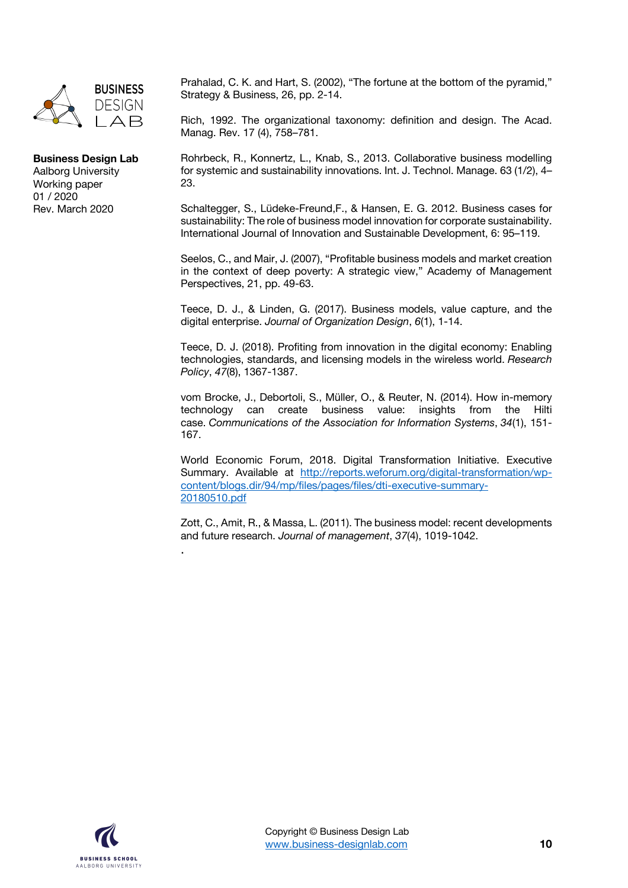

## **Business Design Lab**

Aalborg University Working paper 01 / 2020 Rev. March 2020

Prahalad, C. K. and Hart, S. (2002), "The fortune at the bottom of the pyramid," Strategy & Business, 26, pp. 2-14.

Rich, 1992. The organizational taxonomy: definition and design. The Acad. Manag. Rev. 17 (4), 758–781.

Rohrbeck, R., Konnertz, L., Knab, S., 2013. Collaborative business modelling for systemic and sustainability innovations. Int. J. Technol. Manage. 63 (1/2), 4– 23.

Schaltegger, S., Lüdeke-Freund,F., & Hansen, E. G. 2012. Business cases for sustainability: The role of business model innovation for corporate sustainability. International Journal of Innovation and Sustainable Development, 6: 95–119.

Seelos, C., and Mair, J. (2007), "Profitable business models and market creation in the context of deep poverty: A strategic view," Academy of Management Perspectives, 21, pp. 49-63.

Teece, D. J., & Linden, G. (2017). Business models, value capture, and the digital enterprise. *Journal of Organization Design*, *6*(1), 1-14.

Teece, D. J. (2018). Profiting from innovation in the digital economy: Enabling technologies, standards, and licensing models in the wireless world. *Research Policy*, *47*(8), 1367-1387.

vom Brocke, J., Debortoli, S., Müller, O., & Reuter, N. (2014). How in-memory technology can create business value: insights from the Hilti case. *Communications of the Association for Information Systems*, *34*(1), 151- 167.

World Economic Forum, 2018. Digital Transformation Initiative. Executive Summary. Available at http://reports.weforum.org/digital-transformation/wpcontent/blogs.dir/94/mp/files/pages/files/dti-executive-summary-20180510.pdf

Zott, C., Amit, R., & Massa, L. (2011). The business model: recent developments and future research. *Journal of management*, *37*(4), 1019-1042.



.